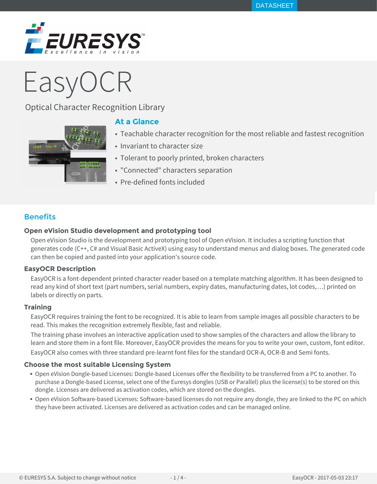

# Easy

Optical Character Recognition Library

# **At a Glance**



- Teachable character recognition for the most reliable and fastest recognition • Invariant to character size
- Tolerant to poorly printed, broken characters
- "Connected" characters separation
- Pre-defined fonts included

# **Benefits**

# **Open eVision Studio development and prototyping tool**

Open eVision Studio is the development and prototyping tool of Open eVision. It includes a scripting function that generates code (C++, C# and Visual Basic ActiveX) using easy to understand menus and dialog boxes. The generated code can then be copied and pasted into your application's source code.

### **EasyOCR Description**

EasyOCR is a font-dependent printed character reader based on a template matching algorithm. It has been designed to read any kind of short text (part numbers, serial numbers, expiry dates, manufacturing dates, lot codes, ...) printed on labels or directly on parts.

### **Training**

EasyOCR requires training the font to be recognized. It is able to learn from sample images all possible characters to be read. This makes the recognition extremely flexible, fast and reliable.

The training phase involves an interactive application used to show samples of the characters and allow the library to learn and store them in a font file. Moreover, EasyOCR provides the means for you to write your own, custom, font editor.

EasyOCR also comes with three standard pre-learnt font files for the standard OCR-A, OCR-B and Semi fonts.

# **Choose the most suitable Licensing System**

- Open eVision Dongle-based Licenses: Dongle-based Licenses offer the flexibility to be transferred from a PC to another. To purchase a Dongle-based License, select one of the Euresys dongles (USB or Parallel) plus the license(s) to be stored on this dongle. Licenses are delivered as activation codes, which are stored on the dongles.
- Open eVision Software-based Licenses: Software-based licenses do not require any dongle, they are linked to the PC on which they have been activated. Licenses are delivered as activation codes and can be managed online.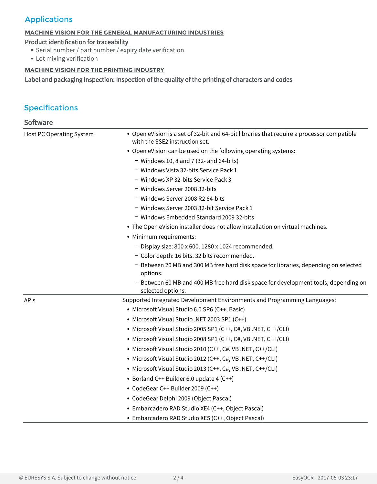# Applications

### **MACHINE VISION FOR THE GENERAL MANUFACTURING INDUSTRIES**

### Product identification for traceability

- Serial number / part number / expiry date verification
- Lot mixing verification

### **MACHINE VISION FOR THE PRINTING INDUSTRY**

Label and packaging inspection: Inspection of the quality of the printing of characters and codes

# Specifications

| Software                 |                                                                                                                              |
|--------------------------|------------------------------------------------------------------------------------------------------------------------------|
| Host PC Operating System | • Open eVision is a set of 32-bit and 64-bit libraries that require a processor compatible<br>with the SSE2 instruction set. |
|                          | • Open eVision can be used on the following operating systems:                                                               |
|                          | $-$ Windows 10, 8 and 7 (32- and 64-bits)                                                                                    |
|                          | - Windows Vista 32-bits Service Pack 1                                                                                       |
|                          | - Windows XP 32-bits Service Pack 3                                                                                          |
|                          | - Windows Server 2008 32-bits                                                                                                |
|                          | - Windows Server 2008 R2 64-bits                                                                                             |
|                          | - Windows Server 2003 32-bit Service Pack 1                                                                                  |
|                          | - Windows Embedded Standard 2009 32-bits                                                                                     |
|                          | • The Open eVision installer does not allow installation on virtual machines.                                                |
|                          | • Minimum requirements:                                                                                                      |
|                          | - Display size: 800 x 600. 1280 x 1024 recommended.                                                                          |
|                          | - Color depth: 16 bits. 32 bits recommended.                                                                                 |
|                          | - Between 20 MB and 300 MB free hard disk space for libraries, depending on selected<br>options.                             |
|                          | - Between 60 MB and 400 MB free hard disk space for development tools, depending on<br>selected options.                     |
| APIs                     | Supported Integrated Development Environments and Programming Languages:                                                     |
|                          | · Microsoft Visual Studio 6.0 SP6 (C++, Basic)                                                                               |
|                          | • Microsoft Visual Studio .NET 2003 SP1 (C++)                                                                                |
|                          | • Microsoft Visual Studio 2005 SP1 (C++, C#, VB .NET, C++/CLI)                                                               |
|                          | • Microsoft Visual Studio 2008 SP1 (C++, C#, VB .NET, C++/CLI)                                                               |
|                          | • Microsoft Visual Studio 2010 (C++, C#, VB .NET, C++/CLI)                                                                   |
|                          | • Microsoft Visual Studio 2012 (C++, C#, VB .NET, C++/CLI)                                                                   |
|                          | • Microsoft Visual Studio 2013 (C++, C#, VB .NET, C++/CLI)                                                                   |
|                          | • Borland C++ Builder 6.0 update 4 (C++)                                                                                     |
|                          | • CodeGear C++ Builder 2009 (C++)                                                                                            |
|                          | • CodeGear Delphi 2009 (Object Pascal)                                                                                       |
|                          | • Embarcadero RAD Studio XE4 (C++, Object Pascal)                                                                            |
|                          | • Embarcadero RAD Studio XE5 (C++, Object Pascal)                                                                            |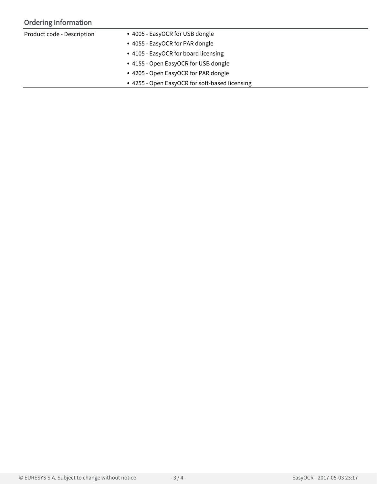# Ordering Information

| Product code - Description | • 4005 - EasyOCR for USB dongle                |  |
|----------------------------|------------------------------------------------|--|
|                            | • 4055 - EasyOCR for PAR dongle                |  |
|                            | • 4105 - EasyOCR for board licensing           |  |
|                            | • 4155 - Open EasyOCR for USB dongle           |  |
|                            | • 4205 - Open EasyOCR for PAR dongle           |  |
|                            | • 4255 - Open EasyOCR for soft-based licensing |  |
|                            |                                                |  |